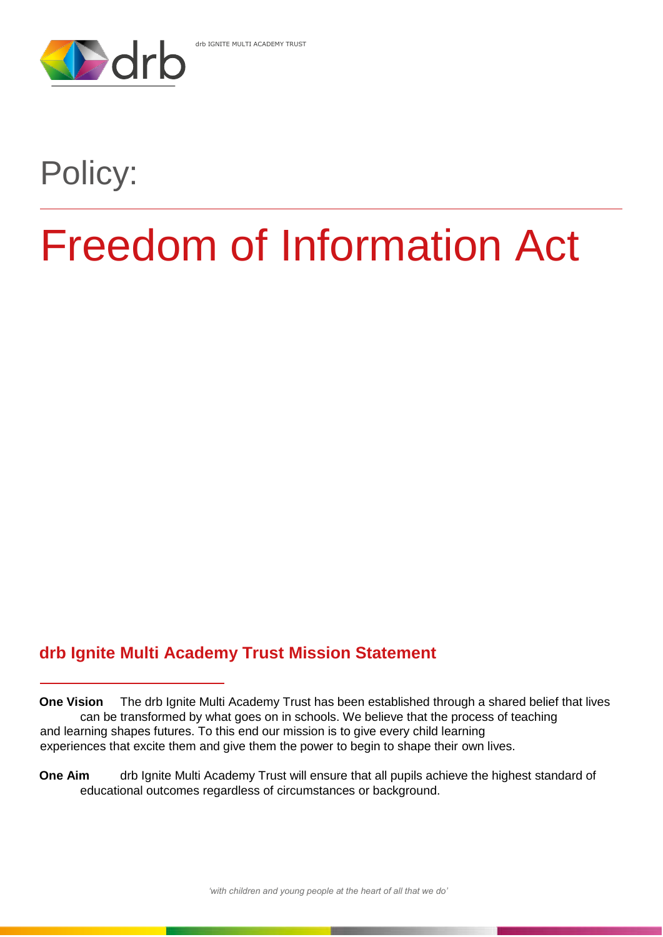

# Policy:

# Freedom of Information Act

# **drb Ignite Multi Academy Trust Mission Statement**

**One Vision** The drb Ignite Multi Academy Trust has been established through a shared belief that lives can be transformed by what goes on in schools. We believe that the process of teaching and learning shapes futures. To this end our mission is to give every child learning experiences that excite them and give them the power to begin to shape their own lives.

**One Aim** drb Ignite Multi Academy Trust will ensure that all pupils achieve the highest standard of educational outcomes regardless of circumstances or background.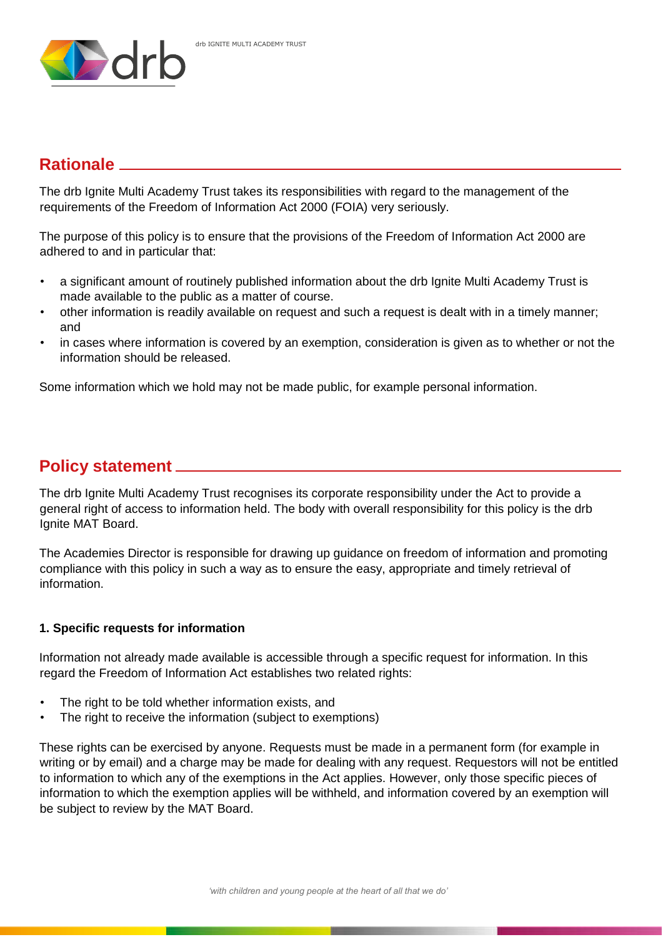

# **Rationale**

The drb Ignite Multi Academy Trust takes its responsibilities with regard to the management of the requirements of the Freedom of Information Act 2000 (FOIA) very seriously.

The purpose of this policy is to ensure that the provisions of the Freedom of Information Act 2000 are adhered to and in particular that:

- a significant amount of routinely published information about the drb Ignite Multi Academy Trust is made available to the public as a matter of course.
- other information is readily available on request and such a request is dealt with in a timely manner; and
- in cases where information is covered by an exemption, consideration is given as to whether or not the information should be released.

Some information which we hold may not be made public, for example personal information.

## **Policy statement**

The drb Ignite Multi Academy Trust recognises its corporate responsibility under the Act to provide a general right of access to information held. The body with overall responsibility for this policy is the drb Ignite MAT Board.

The Academies Director is responsible for drawing up guidance on freedom of information and promoting compliance with this policy in such a way as to ensure the easy, appropriate and timely retrieval of information.

### **1. Specific requests for information**

Information not already made available is accessible through a specific request for information. In this regard the Freedom of Information Act establishes two related rights:

- The right to be told whether information exists, and
- The right to receive the information (subject to exemptions)

These rights can be exercised by anyone. Requests must be made in a permanent form (for example in writing or by email) and a charge may be made for dealing with any request. Requestors will not be entitled to information to which any of the exemptions in the Act applies. However, only those specific pieces of information to which the exemption applies will be withheld, and information covered by an exemption will be subject to review by the MAT Board.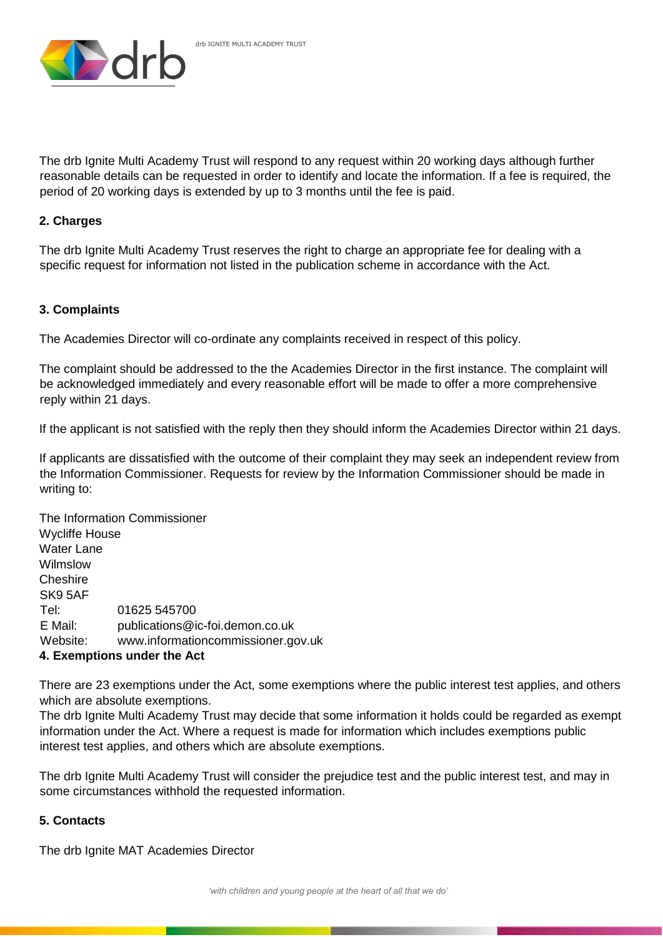

The drb Ignite Multi Academy Trust will respond to any request within 20 working days although further reasonable details can be requested in order to identify and locate the information. If a fee is required, the period of 20 working days is extended by up to 3 months until the fee is paid.

#### **2. Charges**

The drb Ignite Multi Academy Trust reserves the right to charge an appropriate fee for dealing with a specific request for information not listed in the publication scheme in accordance with the Act.

#### **3. Complaints**

The Academies Director will co-ordinate any complaints received in respect of this policy.

The complaint should be addressed to the the Academies Director in the first instance. The complaint will be acknowledged immediately and every reasonable effort will be made to offer a more comprehensive reply within 21 days.

If the applicant is not satisfied with the reply then they should inform the Academies Director within 21 days.

If applicants are dissatisfied with the outcome of their complaint they may seek an independent review from the Information Commissioner. Requests for review by the Information Commissioner should be made in writing to:

The Information Commissioner Wycliffe House Water Lane Wilmslow Cheshire SK9 5AF Tel: 01625 545700 E Mail: publications@ic-foi.demon.co.uk Website: www.informationcommissioner.gov.uk **4. Exemptions under the Act**

There are 23 exemptions under the Act, some exemptions where the public interest test applies, and others which are absolute exemptions.

The drb Ignite Multi Academy Trust may decide that some information it holds could be regarded as exempt information under the Act. Where a request is made for information which includes exemptions public interest test applies, and others which are absolute exemptions.

The drb Ignite Multi Academy Trust will consider the prejudice test and the public interest test, and may in some circumstances withhold the requested information.

### **5. Contacts**

The drb Ignite MAT Academies Director